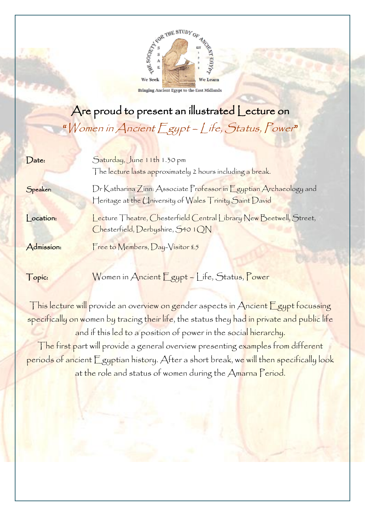

**Bringing Ancient Egypt to the East Midlands** 

## Are proud to present an illustrated Lecture on "Women in Ancient Egypt - Life, Status, Power"

| $\int$ Date: | Saturday, June 11th 1.30 pm<br>The lecture lasts approximately 2 hours including a break.                                     |
|--------------|-------------------------------------------------------------------------------------------------------------------------------|
| Speaker:     | Dr Katharina Zinn: Associate Professor in Egyptian Archaeology and<br>Heritage at the University of Wales Trinity Saint David |
| ocation:     | Lecture Theatre, Chesterfield Central Library New Beetwell, Street,<br>Chesterfield, Derbyshire, S40 1 QN                     |
| Admission:   | Free to Members, Day-Visitor £5                                                                                               |

Topic: Women in Ancient Egypt – Life, Status, Power

This lecture will provide an overview on gender aspects in Ancient Egypt focussing specifically on women by tracing their life, the status they had in private and public life and if this led to a position of power in the social hierarchy. The first part will provide a general overview presenting examples from different periods of ancient Egyptian history. After a short break, we will then specifically look at the role and status of women during the Amarna Period.